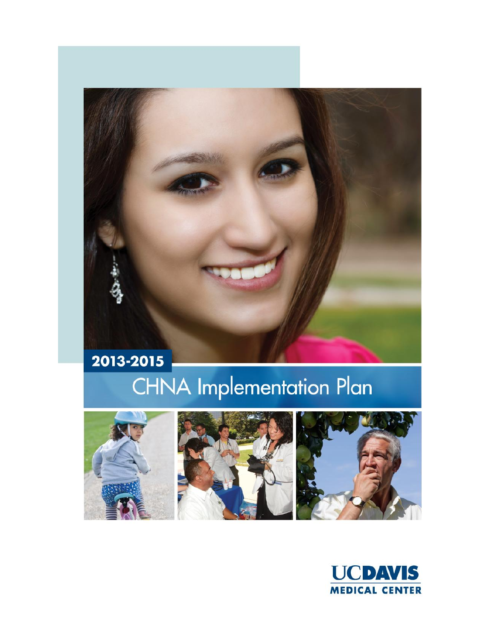# **CHNA Implementation Plan**



2013-2015





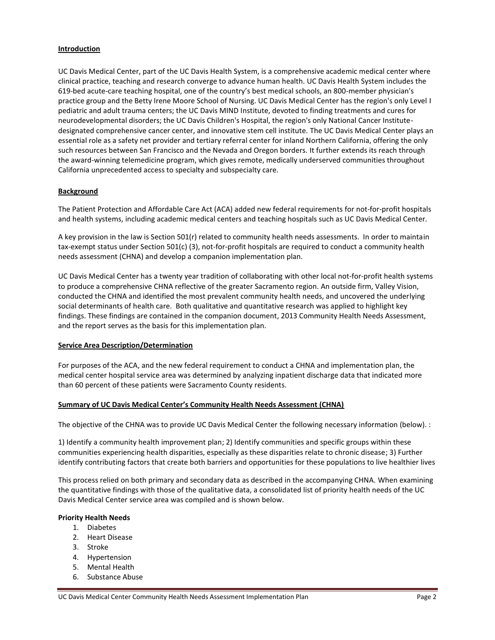# **Introduction**

UC Davis Medical Center, part of the UC Davis Health System, is a comprehensive academic medical center where clinical practice, teaching and research converge to advance human health. UC Davis Health System includes the 619-bed acute-care teaching hospital, one of the country's best medical schools, an 800-member physician's practice group and the Betty Irene Moore School of Nursing. UC Davis Medical Center has the region's only Level I pediatric and adult trauma centers; the UC Davis MIND Institute, devoted to finding treatments and cures for neurodevelopmental disorders; the UC Davis Children's Hospital, the region's only National Cancer Institutedesignated comprehensive cancer center, and innovative stem cell institute. The UC Davis Medical Center plays an essential role as a safety net provider and tertiary referral center for inland Northern California, offering the only such resources between San Francisco and the Nevada and Oregon borders. It further extends its reach through the award-winning telemedicine program, which gives remote, medically underserved communities throughout California unprecedented access to specialty and subspecialty care.

# **Background**

The Patient Protection and Affordable Care Act (ACA) added new federal requirements for not-for-profit hospitals and health systems, including academic medical centers and teaching hospitals such as UC Davis Medical Center.

A key provision in the law is Section 501(r) related to community health needs assessments. In order to maintain tax‐exempt status under Section 501(c) (3), not-for-profit hospitals are required to conduct a community health needs assessment (CHNA) and develop a companion implementation plan.

UC Davis Medical Center has a twenty year tradition of collaborating with other local not-for-profit health systems to produce a comprehensive CHNA reflective of the greater Sacramento region. An outside firm, Valley Vision, conducted the CHNA and identified the most prevalent community health needs, and uncovered the underlying social determinants of health care. Both qualitative and quantitative research was applied to highlight key findings. These findings are contained in the companion document, 2013 Community Health Needs Assessment, and the report serves as the basis for this implementation plan.

# **Service Area Description/Determination**

For purposes of the ACA, and the new federal requirement to conduct a CHNA and implementation plan, the medical center hospital service area was determined by analyzing inpatient discharge data that indicated more than 60 percent of these patients were Sacramento County residents.

# **Summary of UC Davis Medical Center's Community Health Needs Assessment (CHNA)**

The objective of the CHNA was to provide UC Davis Medical Center the following necessary information (below). :

1) Identify a community health improvement plan; 2) Identify communities and specific groups within these communities experiencing health disparities, especially as these disparities relate to chronic disease; 3) Further identify contributing factors that create both barriers and opportunities for these populations to live healthier lives

This process relied on both primary and secondary data as described in the accompanying CHNA. When examining the quantitative findings with those of the qualitative data, a consolidated list of priority health needs of the UC Davis Medical Center service area was compiled and is shown below.

# **Priority Health Needs**

- 1. Diabetes
- 2. Heart Disease
- 3. Stroke
- 4. Hypertension
- 5. Mental Health
- 6. Substance Abuse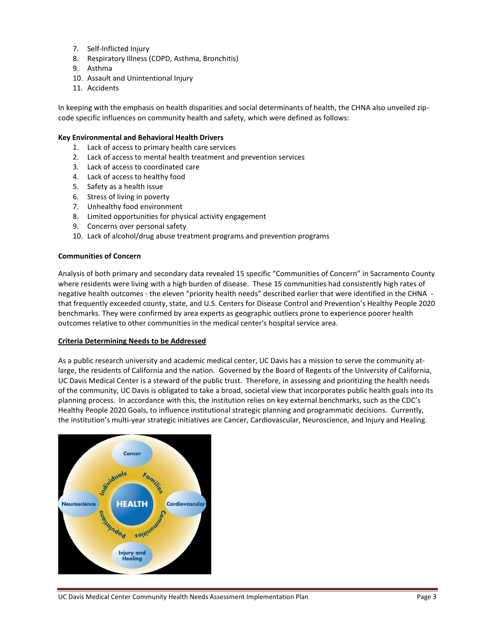- 7. Self-Inflicted Injury
- 8. Respiratory Illness (COPD, Asthma, Bronchitis)
- 9. Asthma
- 10. Assault and Unintentional Injury
- 11. Accidents

In keeping with the emphasis on health disparities and social determinants of health, the CHNA also unveiled zipcode specific influences on community health and safety, which were defined as follows:

## **Key Environmental and Behavioral Health Drivers**

- 1. Lack of access to primary health care services
- 2. Lack of access to mental health treatment and prevention services
- 3. Lack of access to coordinated care
- 4. Lack of access to healthy food
- 5. Safety as a health issue
- 6. Stress of living in poverty
- 7. Unhealthy food environment
- 8. Limited opportunities for physical activity engagement
- 9. Concerns over personal safety
- 10. Lack of alcohol/drug abuse treatment programs and prevention programs

## **Communities of Concern**

Analysis of both primary and secondary data revealed 15 specific "Communities of Concern" in Sacramento County where residents were living with a high burden of disease. These 15 communities had consistently high rates of negative health outcomes - the eleven "priority health needs" described earlier that were identified in the CHNA that frequently exceeded county, state, and U.S. Centers for Disease Control and Prevention's Healthy People 2020 benchmarks. They were confirmed by area experts as geographic outliers prone to experience poorer health outcomes relative to other communities in the medical center's hospital service area.

#### **Criteria Determining Needs to be Addressed**

As a public research university and academic medical center, UC Davis has a mission to serve the community atlarge, the residents of California and the nation. Governed by the Board of Regents of the University of California, UC Davis Medical Center is a steward of the public trust. Therefore, in assessing and prioritizing the health needs of the community, UC Davis is obligated to take a broad, societal view that incorporates public health goals into its planning process. In accordance with this, the institution relies on key external benchmarks, such as the CDC's Healthy People 2020 Goals, to influence institutional strategic planning and programmatic decisions. Currently, the institution's multi-year strategic initiatives are Cancer, Cardiovascular, Neuroscience, and Injury and Healing.

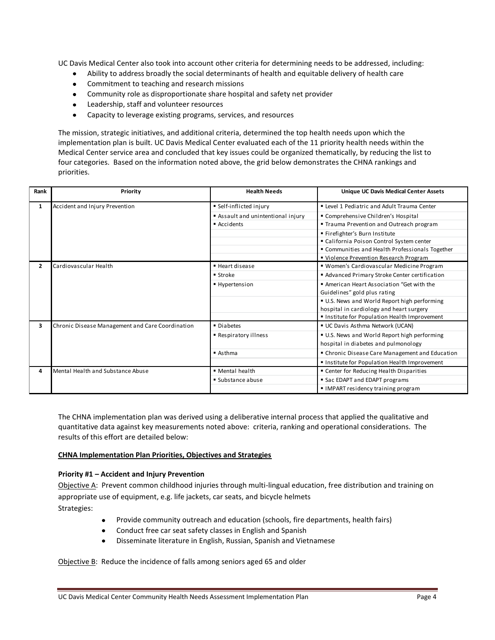UC Davis Medical Center also took into account other criteria for determining needs to be addressed, including:

- Ability to address broadly the social determinants of health and equitable delivery of health care  $\bullet$
- Commitment to teaching and research missions  $\bullet$
- Community role as disproportionate share hospital and safety net provider
- $\bullet$ Leadership, staff and volunteer resources
- $\bullet$ Capacity to leverage existing programs, services, and resources

The mission, strategic initiatives, and additional criteria, determined the top health needs upon which the implementation plan is built. UC Davis Medical Center evaluated each of the 11 priority health needs within the Medical Center service area and concluded that key issues could be organized thematically, by reducing the list to four categories. Based on the information noted above, the grid below demonstrates the CHNA rankings and priorities.

| Rank         | Priority                                         | <b>Health Needs</b>              | <b>Unique UC Davis Medical Center Assets</b>    |
|--------------|--------------------------------------------------|----------------------------------|-------------------------------------------------|
| $\mathbf{1}$ | Accident and Injury Prevention                   | Self-inflicted injury            | " Level 1 Pediatric and Adult Trauma Center     |
|              |                                                  | Assault and unintentional injury | " Comprehensive Children's Hospital             |
|              |                                                  | Accidents                        | " Trauma Prevention and Outreach program        |
|              |                                                  |                                  | " Firefighter's Burn Institute                  |
|              |                                                  |                                  | " California Poison Control System center       |
|              |                                                  |                                  | " Communities and Health Professionals Together |
|              |                                                  |                                  | " Violence Prevention Research Program          |
| $\mathbf{2}$ | Cardiovascular Health                            | Heart disease                    | " Women's Cardiovascular Medicine Program       |
|              |                                                  | ■ Stroke                         | Advanced Primary Stroke Center certification    |
|              |                                                  | ■ Hypertension                   | American Heart Association "Get with the        |
|              |                                                  |                                  | Guidelines" gold plus rating                    |
|              |                                                  |                                  | U.S. News and World Report high performing      |
|              |                                                  |                                  | hospital in cardiology and heart surgery        |
|              |                                                  |                                  | " Institute for Population Health Improvement   |
| 3            | Chronic Disease Management and Care Coordination | • Diabetes                       | UC Davis Asthma Network (UCAN)                  |
|              |                                                  | ■ Respiratory illness            | U.S. News and World Report high performing      |
|              |                                                  |                                  | hospital in diabetes and pulmonology            |
|              |                                                  | $A$ sthma                        | " Chronic Disease Care Management and Education |
|              |                                                  |                                  | " Institute for Population Health Improvement   |
| 4            | Mental Health and Substance Abuse                | • Mental health                  | " Center for Reducing Health Disparities        |
|              |                                                  | ■ Substance abuse                | Sac EDAPT and EDAPT programs                    |
|              |                                                  |                                  | IMPART residency training program               |

The CHNA implementation plan was derived using a deliberative internal process that applied the qualitative and quantitative data against key measurements noted above: criteria, ranking and operational considerations. The results of this effort are detailed below:

#### **CHNA Implementation Plan Priorities, Objectives and Strategies**

#### **Priority #1 – Accident and Injury Prevention**

Objective A: Prevent common childhood injuries through multi-lingual education, free distribution and training on appropriate use of equipment, e.g. life jackets, car seats, and bicycle helmets Strategies:

- Provide community outreach and education (schools, fire departments, health fairs)
- Conduct free car seat safety classes in English and Spanish  $\bullet$
- Disseminate literature in English, Russian, Spanish and Vietnamese  $\bullet$

Objective B: Reduce the incidence of falls among seniors aged 65 and older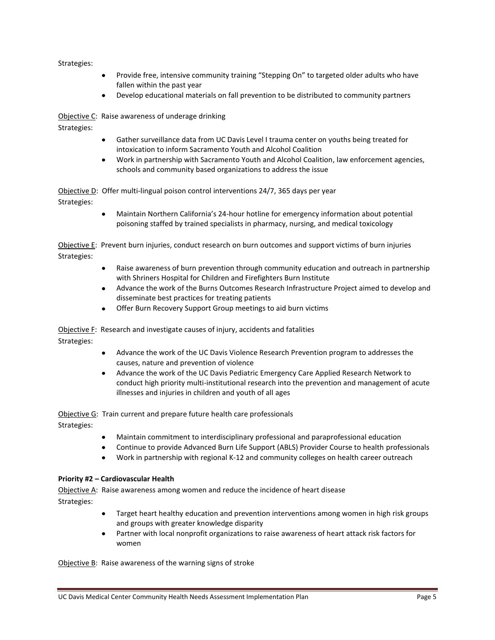- Provide free, intensive community training "Stepping On" to targeted older adults who have  $\bullet$ fallen within the past year
- Develop educational materials on fall prevention to be distributed to community partners  $\bullet$

Objective C: Raise awareness of underage drinking

Strategies:

- Gather surveillance data from UC Davis Level I trauma center on youths being treated for intoxication to inform Sacramento Youth and Alcohol Coalition
- Work in partnership with Sacramento Youth and Alcohol Coalition, law enforcement agencies, schools and community based organizations to address the issue

Objective D: Offer multi-lingual poison control interventions 24/7, 365 days per year Strategies:

> Maintain Northern California's 24-hour hotline for emergency information about potential poisoning staffed by trained specialists in pharmacy, nursing, and medical toxicology

Objective E: Prevent burn injuries, conduct research on burn outcomes and support victims of burn injuries Strategies:

- $\bullet$ Raise awareness of burn prevention through community education and outreach in partnership with Shriners Hospital for Children and Firefighters Burn Institute
- Advance the work of the Burns Outcomes Research Infrastructure Project aimed to develop and disseminate best practices for treating patients
- Offer Burn Recovery Support Group meetings to aid burn victims  $\bullet$

Objective F: Research and investigate causes of injury, accidents and fatalities

Strategies:

- Advance the work of the UC Davis Violence Research Prevention program to addresses the causes, nature and prevention of violence
- $\bullet$ Advance the work of the UC Davis Pediatric Emergency Care Applied Research Network to conduct high priority multi-institutional research into the prevention and management of acute illnesses and injuries in children and youth of all ages

Objective G: Train current and prepare future health care professionals

Strategies:

- Maintain commitment to interdisciplinary professional and paraprofessional education  $\bullet$
- Continue to provide Advanced Burn Life Support (ABLS) Provider Course to health professionals
- $\bullet$ Work in partnership with regional K-12 and community colleges on health career outreach

# **Priority #2 – Cardiovascular Health**

Objective A: Raise awareness among women and reduce the incidence of heart disease Strategies:

- Target heart healthy education and prevention interventions among women in high risk groups and groups with greater knowledge disparity
- $\bullet$ Partner with local nonprofit organizations to raise awareness of heart attack risk factors for women

Objective B: Raise awareness of the warning signs of stroke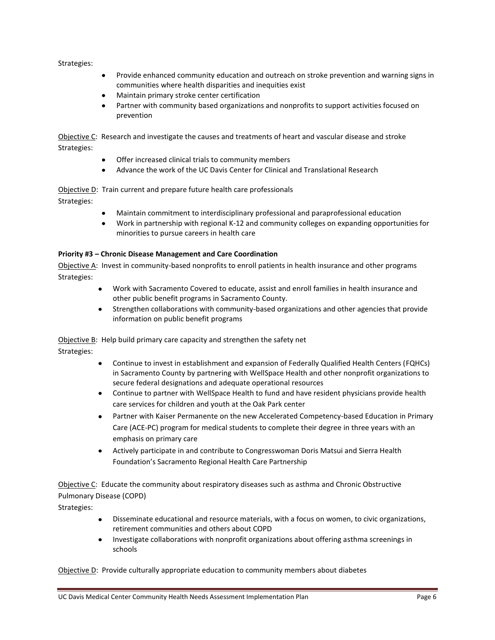- Provide enhanced community education and outreach on stroke prevention and warning signs in  $\bullet$ communities where health disparities and inequities exist
- Maintain primary stroke center certification  $\bullet$
- Partner with community based organizations and nonprofits to support activities focused on  $\bullet$ prevention

Objective C: Research and investigate the causes and treatments of heart and vascular disease and stroke Strategies:

- Offer increased clinical trials to community members
- Advance the work of the UC Davis Center for Clinical and Translational Research

Objective D: Train current and prepare future health care professionals

Strategies:

- Maintain commitment to interdisciplinary professional and paraprofessional education
- Work in partnership with regional K-12 and community colleges on expanding opportunities for  $\bullet$ minorities to pursue careers in health care

# **Priority #3 – Chronic Disease Management and Care Coordination**

Objective A: Invest in community-based nonprofits to enroll patients in health insurance and other programs Strategies:

- Work with Sacramento Covered to educate, assist and enroll families in health insurance and other public benefit programs in Sacramento County.
- Strengthen collaborations with community-based organizations and other agencies that provide information on public benefit programs

Objective B: Help build primary care capacity and strengthen the safety net

Strategies:

- Continue to invest in establishment and expansion of Federally Qualified Health Centers (FQHCs) in Sacramento County by partnering with WellSpace Health and other nonprofit organizations to secure federal designations and adequate operational resources
- Continue to partner with WellSpace Health to fund and have resident physicians provide health care services for children and youth at the Oak Park center
- Partner with Kaiser Permanente on the new Accelerated Competency-based Education in Primary  $\bullet$ Care (ACE-PC) program for medical students to complete their degree in three years with an emphasis on primary care
- Actively participate in and contribute to Congresswoman Doris Matsui and Sierra Health  $\bullet$ Foundation's Sacramento Regional Health Care Partnership

Objective C: Educate the community about respiratory diseases such as asthma and Chronic Obstructive Pulmonary Disease (COPD)

Strategies:

- Disseminate educational and resource materials, with a focus on women, to civic organizations, retirement communities and others about COPD
- Investigate collaborations with nonprofit organizations about offering asthma screenings in schools

Objective D: Provide culturally appropriate education to community members about diabetes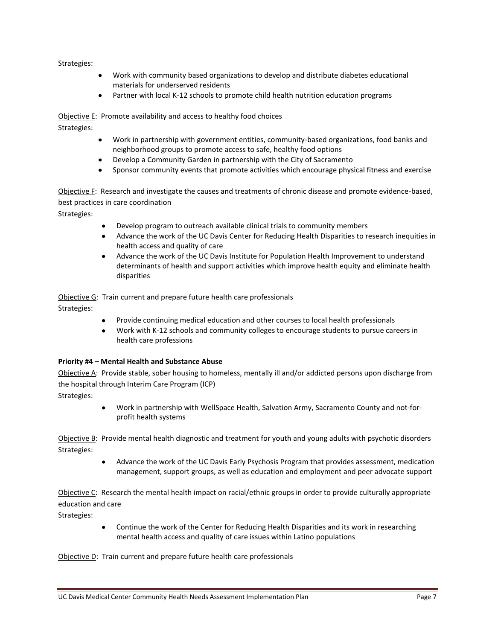- Work with community based organizations to develop and distribute diabetes educational materials for underserved residents
- Partner with local K-12 schools to promote child health nutrition education programs  $\bullet$

Objective E: Promote availability and access to healthy food choices Strategies:

- Work in partnership with government entities, community-based organizations, food banks and neighborhood groups to promote access to safe, healthy food options
- Develop a Community Garden in partnership with the City of Sacramento
- Sponsor community events that promote activities which encourage physical fitness and exercise

Objective F: Research and investigate the causes and treatments of chronic disease and promote evidence-based, best practices in care coordination

Strategies:

- Develop program to outreach available clinical trials to community members
- $\bullet$ Advance the work of the UC Davis Center for Reducing Health Disparities to research inequities in health access and quality of care
- $\bullet$ Advance the work of the UC Davis Institute for Population Health Improvement to understand determinants of health and support activities which improve health equity and eliminate health disparities

Objective G: Train current and prepare future health care professionals Strategies:

- Provide continuing medical education and other courses to local health professionals  $\bullet$
- Work with K-12 schools and community colleges to encourage students to pursue careers in health care professions

# **Priority #4 – Mental Health and Substance Abuse**

Objective A: Provide stable, sober housing to homeless, mentally ill and/or addicted persons upon discharge from the hospital through Interim Care Program (ICP)

Strategies:

Work in partnership with WellSpace Health, Salvation Army, Sacramento County and not-forprofit health systems

Objective B: Provide mental health diagnostic and treatment for youth and young adults with psychotic disorders Strategies:

> Advance the work of the UC Davis Early Psychosis Program that provides assessment, medication  $\bullet$ management, support groups, as well as education and employment and peer advocate support

Objective C: Research the mental health impact on racial/ethnic groups in order to provide culturally appropriate education and care

Strategies:

 $\bullet$ Continue the work of the Center for Reducing Health Disparities and its work in researching mental health access and quality of care issues within Latino populations

Objective D: Train current and prepare future health care professionals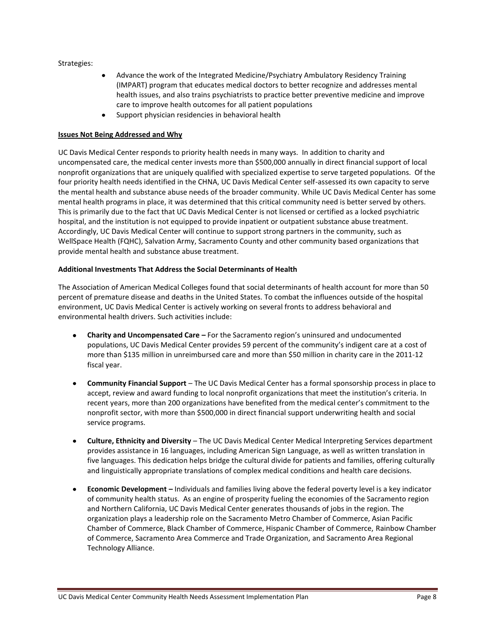- Advance the work of the Integrated Medicine/Psychiatry Ambulatory Residency Training  $\bullet$ (IMPART) program that educates medical doctors to better recognize and addresses mental health issues, and also trains psychiatrists to practice better preventive medicine and improve care to improve health outcomes for all patient populations
- $\bullet$ Support physician residencies in behavioral health

## **Issues Not Being Addressed and Why**

UC Davis Medical Center responds to priority health needs in many ways. In addition to charity and uncompensated care, the medical center invests more than \$500,000 annually in direct financial support of local nonprofit organizations that are uniquely qualified with specialized expertise to serve targeted populations. Of the four priority health needs identified in the CHNA, UC Davis Medical Center self-assessed its own capacity to serve the mental health and substance abuse needs of the broader community. While UC Davis Medical Center has some mental health programs in place, it was determined that this critical community need is better served by others. This is primarily due to the fact that UC Davis Medical Center is not licensed or certified as a locked psychiatric hospital, and the institution is not equipped to provide inpatient or outpatient substance abuse treatment. Accordingly, UC Davis Medical Center will continue to support strong partners in the community, such as WellSpace Health (FQHC), Salvation Army, Sacramento County and other community based organizations that provide mental health and substance abuse treatment.

## **Additional Investments That Address the Social Determinants of Health**

The Association of American Medical Colleges found that social determinants of health account for more than 50 percent of premature disease and deaths in the United States. To combat the influences outside of the hospital environment, UC Davis Medical Center is actively working on several fronts to address behavioral and environmental health drivers. Such activities include:

- **Charity and Uncompensated Care –** For the Sacramento region's uninsured and undocumented populations, UC Davis Medical Center provides 59 percent of the community's indigent care at a cost of more than \$135 million in unreimbursed care and more than \$50 million in charity care in the 2011-12 fiscal year.
- **Community Financial Support** The UC Davis Medical Center has a formal sponsorship process in place to accept, review and award funding to local nonprofit organizations that meet the institution's criteria. In recent years, more than 200 organizations have benefited from the medical center's commitment to the nonprofit sector, with more than \$500,000 in direct financial support underwriting health and social service programs.
- **Culture, Ethnicity and Diversity** The UC Davis Medical Center Medical Interpreting Services department provides assistance in 16 languages, including American Sign Language, as well as written translation in five languages. This dedication helps bridge the cultural divide for patients and families, offering culturally and linguistically appropriate translations of complex medical conditions and health care decisions.
- **Economic Development –** Individuals and families living above the federal poverty level is a key indicator of community health status. As an engine of prosperity fueling the economies of the Sacramento region and Northern California, UC Davis Medical Center generates thousands of jobs in the region. The organization plays a leadership role on the Sacramento Metro Chamber of Commerce, Asian Pacific Chamber of Commerce, Black Chamber of Commerce, Hispanic Chamber of Commerce, Rainbow Chamber of Commerce, Sacramento Area Commerce and Trade Organization, and Sacramento Area Regional Technology Alliance.